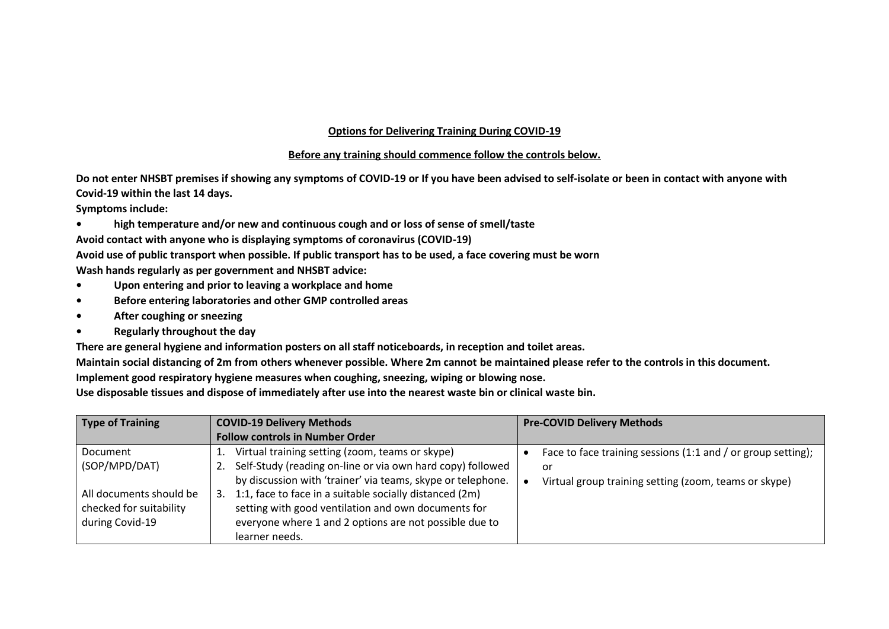## **Options for Delivering Training During COVID-19**

## **Before any training should commence follow the controls below.**

**Do not enter NHSBT premises if showing any symptoms of COVID-19 or If you have been advised to self-isolate or been in contact with anyone with Covid-19 within the last 14 days.** 

**Symptoms include:**

**• high temperature and/or new and continuous cough and or loss of sense of smell/taste**

**Avoid contact with anyone who is displaying symptoms of coronavirus (COVID-19)** 

**Avoid use of public transport when possible. If public transport has to be used, a face covering must be worn**

**Wash hands regularly as per government and NHSBT advice:**

- **• Upon entering and prior to leaving a workplace and home**
- **• Before entering laboratories and other GMP controlled areas**
- **• After coughing or sneezing**
- **• Regularly throughout the day**

**There are general hygiene and information posters on all staff noticeboards, in reception and toilet areas.**

**Maintain social distancing of 2m from others whenever possible. Where 2m cannot be maintained please refer to the controls in this document. Implement good respiratory hygiene measures when coughing, sneezing, wiping or blowing nose.** 

**Use disposable tissues and dispose of immediately after use into the nearest waste bin or clinical waste bin.**

| Type of Training        | <b>COVID-19 Delivery Methods</b>                                 | <b>Pre-COVID Delivery Methods</b>                            |  |
|-------------------------|------------------------------------------------------------------|--------------------------------------------------------------|--|
|                         | <b>Follow controls in Number Order</b>                           |                                                              |  |
| Document                | Virtual training setting (zoom, teams or skype)                  | Face to face training sessions (1:1 and / or group setting); |  |
| (SOP/MPD/DAT)           | Self-Study (reading on-line or via own hard copy) followed<br>2. | or                                                           |  |
|                         | by discussion with 'trainer' via teams, skype or telephone.      | Virtual group training setting (zoom, teams or skype)        |  |
| All documents should be | 1:1, face to face in a suitable socially distanced (2m)<br>3.    |                                                              |  |
| checked for suitability | setting with good ventilation and own documents for              |                                                              |  |
| during Covid-19         | everyone where 1 and 2 options are not possible due to           |                                                              |  |
|                         | learner needs.                                                   |                                                              |  |